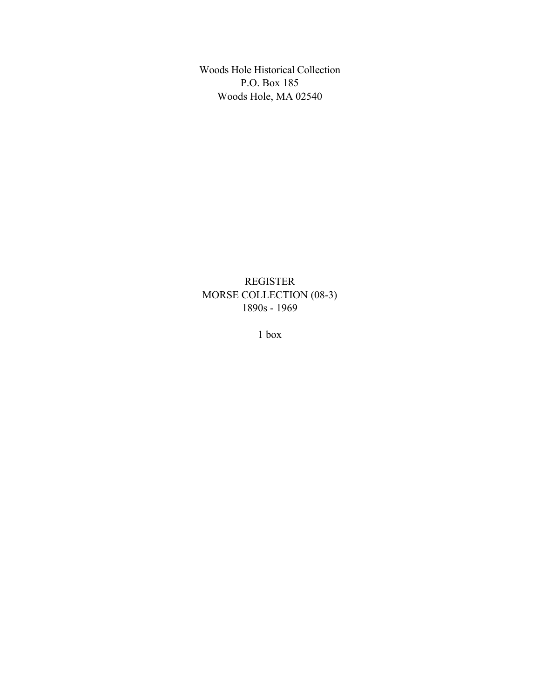Woods Hole Historical Collection P.O. Box 185 Woods Hole, MA 02540

REGISTER MORSE COLLECTION (08-3) 1890s - 1969

1 box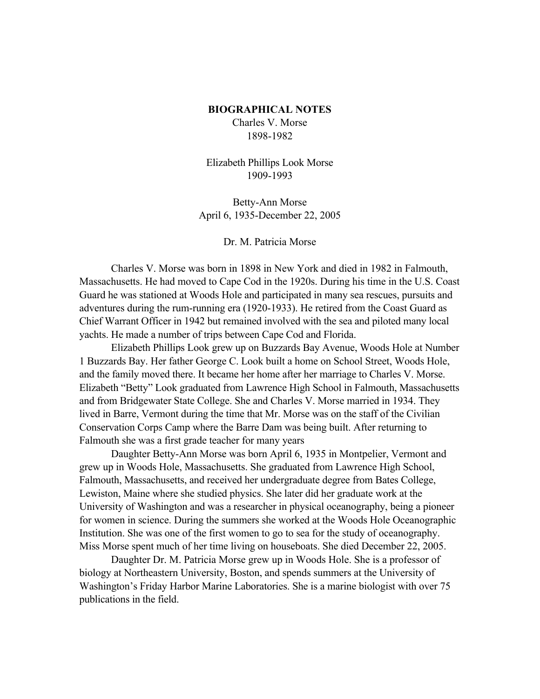#### **BIOGRAPHICAL NOTES**

Charles V. Morse 1898-1982

Elizabeth Phillips Look Morse 1909-1993

Betty-Ann Morse April 6, 1935-December 22, 2005

Dr. M. Patricia Morse

Charles V. Morse was born in 1898 in New York and died in 1982 in Falmouth, Massachusetts. He had moved to Cape Cod in the 1920s. During his time in the U.S. Coast Guard he was stationed at Woods Hole and participated in many sea rescues, pursuits and adventures during the rum-running era (1920-1933). He retired from the Coast Guard as Chief Warrant Officer in 1942 but remained involved with the sea and piloted many local yachts. He made a number of trips between Cape Cod and Florida.

Elizabeth Phillips Look grew up on Buzzards Bay Avenue, Woods Hole at Number 1 Buzzards Bay. Her father George C. Look built a home on School Street, Woods Hole, and the family moved there. It became her home after her marriage to Charles V. Morse. Elizabeth "Betty" Look graduated from Lawrence High School in Falmouth, Massachusetts and from Bridgewater State College. She and Charles V. Morse married in 1934. They lived in Barre, Vermont during the time that Mr. Morse was on the staff of the Civilian Conservation Corps Camp where the Barre Dam was being built. After returning to Falmouth she was a first grade teacher for many years

Daughter Betty-Ann Morse was born April 6, 1935 in Montpelier, Vermont and grew up in Woods Hole, Massachusetts. She graduated from Lawrence High School, Falmouth, Massachusetts, and received her undergraduate degree from Bates College, Lewiston, Maine where she studied physics. She later did her graduate work at the University of Washington and was a researcher in physical oceanography, being a pioneer for women in science. During the summers she worked at the Woods Hole Oceanographic Institution. She was one of the first women to go to sea for the study of oceanography. Miss Morse spent much of her time living on houseboats. She died December 22, 2005.

Daughter Dr. M. Patricia Morse grew up in Woods Hole. She is a professor of biology at Northeastern University, Boston, and spends summers at the University of Washington's Friday Harbor Marine Laboratories. She is a marine biologist with over 75 publications in the field.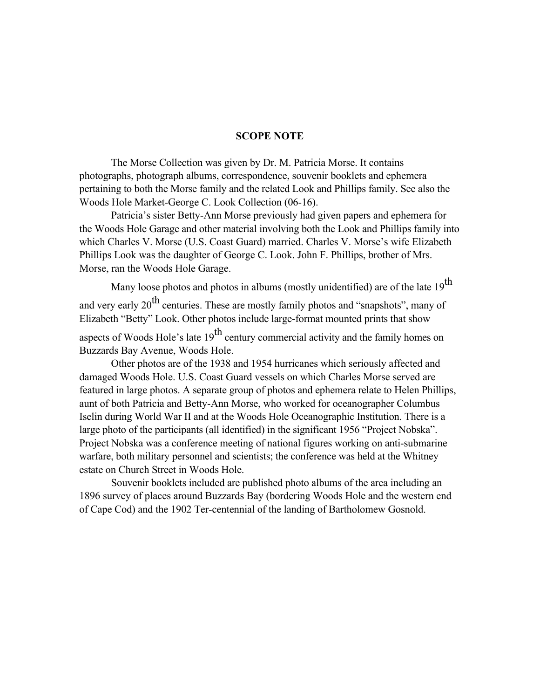#### **SCOPE NOTE**

The Morse Collection was given by Dr. M. Patricia Morse. It contains photographs, photograph albums, correspondence, souvenir booklets and ephemera pertaining to both the Morse family and the related Look and Phillips family. See also the Woods Hole Market-George C. Look Collection (06-16).

Patricia's sister Betty-Ann Morse previously had given papers and ephemera for the Woods Hole Garage and other material involving both the Look and Phillips family into which Charles V. Morse (U.S. Coast Guard) married. Charles V. Morse's wife Elizabeth Phillips Look was the daughter of George C. Look. John F. Phillips, brother of Mrs. Morse, ran the Woods Hole Garage.

Many loose photos and photos in albums (mostly unidentified) are of the late  $19^{th}$ and very early 20<sup>th</sup> centuries. These are mostly family photos and "snapshots", many of Elizabeth "Betty" Look. Other photos include large-format mounted prints that show aspects of Woods Hole's late  $19<sup>th</sup>$  century commercial activity and the family homes on Buzzards Bay Avenue, Woods Hole.

Other photos are of the 1938 and 1954 hurricanes which seriously affected and damaged Woods Hole. U.S. Coast Guard vessels on which Charles Morse served are featured in large photos. A separate group of photos and ephemera relate to Helen Phillips, aunt of both Patricia and Betty-Ann Morse, who worked for oceanographer Columbus Iselin during World War II and at the Woods Hole Oceanographic Institution. There is a large photo of the participants (all identified) in the significant 1956 "Project Nobska". Project Nobska was a conference meeting of national figures working on anti-submarine warfare, both military personnel and scientists; the conference was held at the Whitney estate on Church Street in Woods Hole.

Souvenir booklets included are published photo albums of the area including an 1896 survey of places around Buzzards Bay (bordering Woods Hole and the western end of Cape Cod) and the 1902 Ter-centennial of the landing of Bartholomew Gosnold.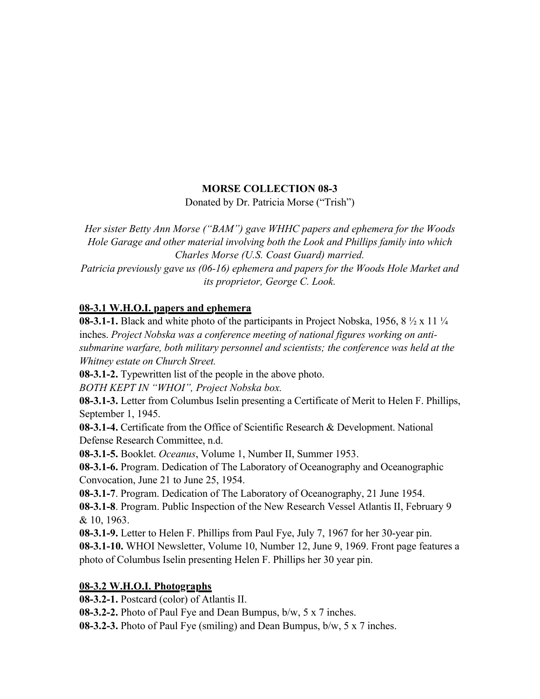## **MORSE COLLECTION 08-3**

Donated by Dr. Patricia Morse ("Trish")

*Her sister Betty Ann Morse ("BAM") gave WHHC papers and ephemera for the Woods Hole Garage and other material involving both the Look and Phillips family into which Charles Morse (U.S. Coast Guard) married.*

*Patricia previously gave us (06-16) ephemera and papers for the Woods Hole Market and its proprietor, George C. Look.*

## **08-3.1 W.H.O.I. papers and ephemera**

**08-3.1-1.** Black and white photo of the participants in Project Nobska, 1956, 8  $\frac{1}{2}$  x 11  $\frac{1}{4}$ inches. *Project Nobska was a conference meeting of national figures working on antisubmarine warfare, both military personnel and scientists; the conference was held at the Whitney estate on Church Street.*

**08-3.1-2.** Typewritten list of the people in the above photo.

*BOTH KEPT IN "WHOI", Project Nobska box.*

**08-3.1-3.** Letter from Columbus Iselin presenting a Certificate of Merit to Helen F. Phillips, September 1, 1945.

**08-3.1-4.** Certificate from the Office of Scientific Research & Development. National Defense Research Committee, n.d.

**08-3.1-5.** Booklet. *Oceanus*, Volume 1, Number II, Summer 1953.

**08-3.1-6.** Program. Dedication of The Laboratory of Oceanography and Oceanographic Convocation, June 21 to June 25, 1954.

**08-3.1-7**. Program. Dedication of The Laboratory of Oceanography, 21 June 1954.

**08-3.1-8**. Program. Public Inspection of the New Research Vessel Atlantis II, February 9 & 10, 1963.

**08-3.1-9.** Letter to Helen F. Phillips from Paul Fye, July 7, 1967 for her 30-year pin.

**08-3.1-10.** WHOI Newsletter, Volume 10, Number 12, June 9, 1969. Front page features a photo of Columbus Iselin presenting Helen F. Phillips her 30 year pin.

## **08-3.2 W.H.O.I. Photographs**

**08-3.2-1.** Postcard (color) of Atlantis II.

**08-3.2-2.** Photo of Paul Fye and Dean Bumpus, b/w, 5 x 7 inches.

**08-3.2-3.** Photo of Paul Fye (smiling) and Dean Bumpus, b/w, 5 x 7 inches.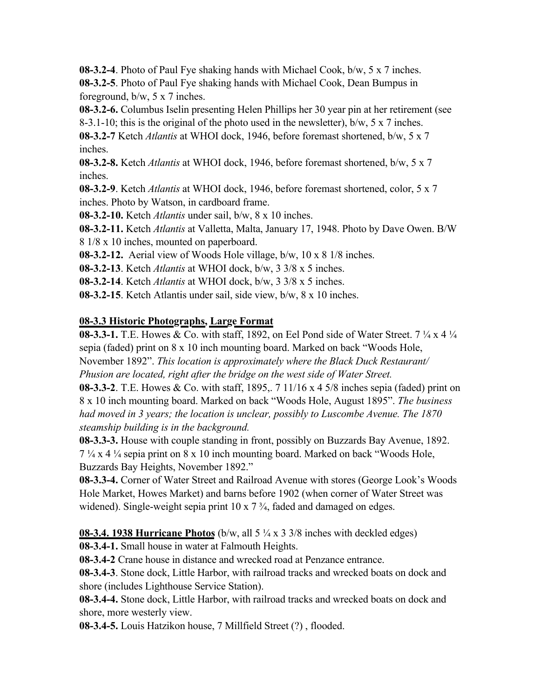**08-3.2-4**. Photo of Paul Fye shaking hands with Michael Cook, b/w, 5 x 7 inches. **08-3.2-5**. Photo of Paul Fye shaking hands with Michael Cook, Dean Bumpus in

foreground, b/w, 5 x 7 inches.

**08-3.2-6.** Columbus Iselin presenting Helen Phillips her 30 year pin at her retirement (see

8-3.1-10; this is the original of the photo used in the newsletter), b/w, 5 x 7 inches.

**08-3.2-7** Ketch *Atlantis* at WHOI dock, 1946, before foremast shortened, b/w, 5 x 7 inches.

**08-3.2-8.** Ketch *Atlantis* at WHOI dock, 1946, before foremast shortened, b/w, 5 x 7 inches.

**08-3.2-9**. Ketch *Atlantis* at WHOI dock, 1946, before foremast shortened, color, 5 x 7 inches. Photo by Watson, in cardboard frame.

**08-3.2-10.** Ketch *Atlantis* under sail, b/w, 8 x 10 inches.

**08-3.2-11.** Ketch *Atlantis* at Valletta, Malta, January 17, 1948. Photo by Dave Owen. B/W 8 1/8 x 10 inches, mounted on paperboard.

**08-3.2-12.** Aerial view of Woods Hole village, b/w, 10 x 8 1/8 inches.

**08-3.2-13**. Ketch *Atlantis* at WHOI dock, b/w, 3 3/8 x 5 inches.

**08-3.2-14**. Ketch *Atlantis* at WHOI dock, b/w, 3 3/8 x 5 inches.

**08-3.2-15**. Ketch Atlantis under sail, side view, b/w, 8 x 10 inches.

# **08-3.3 Historic Photographs, Large Format**

**08-3.3-1.** T.E. Howes & Co. with staff, 1892, on Eel Pond side of Water Street. 7 ¼ x 4 ¼ sepia (faded) print on 8 x 10 inch mounting board. Marked on back "Woods Hole, November 1892". *This location is approximately where the Black Duck Restaurant/ Phusion are located, right after the bridge on the west side of Water Street.*

**08-3.3-2**. T.E. Howes & Co. with staff, 1895,. 7 11/16 x 4 5/8 inches sepia (faded) print on 8 x 10 inch mounting board. Marked on back "Woods Hole, August 1895". *The business had moved in 3 years; the location is unclear, possibly to Luscombe Avenue. The 1870 steamship building is in the background.*

**08-3.3-3.** House with couple standing in front, possibly on Buzzards Bay Avenue, 1892. 7 ¼ x 4 ¼ sepia print on 8 x 10 inch mounting board. Marked on back "Woods Hole, Buzzards Bay Heights, November 1892."

**08-3.3-4.** Corner of Water Street and Railroad Avenue with stores (George Look's Woods Hole Market, Howes Market) and barns before 1902 (when corner of Water Street was widened). Single-weight sepia print 10 x 7 <sup>3</sup>/<sub>4</sub>, faded and damaged on edges.

**08-3.4. 1938 Hurricane Photos** (b/w, all 5 ¼ x 3 3/8 inches with deckled edges)

**08-3.4-1.** Small house in water at Falmouth Heights.

**08-3.4-2** Crane house in distance and wrecked road at Penzance entrance.

**08-3.4-3**. Stone dock, Little Harbor, with railroad tracks and wrecked boats on dock and shore (includes Lighthouse Service Station).

**08-3.4-4.** Stone dock, Little Harbor, with railroad tracks and wrecked boats on dock and shore, more westerly view.

**08-3.4-5.** Louis Hatzikon house, 7 Millfield Street (?) , flooded.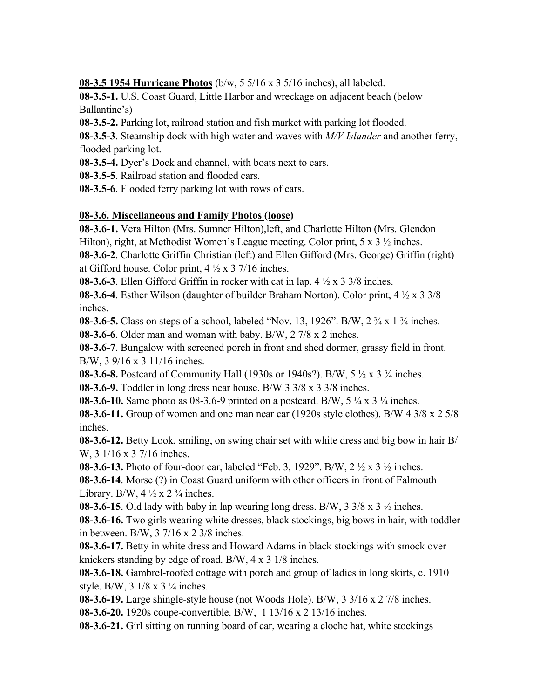**08-3.5 1954 Hurricane Photos** (b/w, 5 5/16 x 3 5/16 inches), all labeled.

**08-3.5-1.** U.S. Coast Guard, Little Harbor and wreckage on adjacent beach (below Ballantine's)

**08-3.5-2.** Parking lot, railroad station and fish market with parking lot flooded.

**08-3.5-3**. Steamship dock with high water and waves with *M/V Islander* and another ferry, flooded parking lot.

**08-3.5-4.** Dyer's Dock and channel, with boats next to cars.

**08-3.5-5**. Railroad station and flooded cars.

**08-3.5-6**. Flooded ferry parking lot with rows of cars.

## **08-3.6. Miscellaneous and Family Photos (loose)**

**08-3.6-1.** Vera Hilton (Mrs. Sumner Hilton),left, and Charlotte Hilton (Mrs. Glendon Hilton), right, at Methodist Women's League meeting. Color print, 5 x 3  $\frac{1}{2}$  inches.

**08-3.6-2**. Charlotte Griffin Christian (left) and Ellen Gifford (Mrs. George) Griffin (right) at Gifford house. Color print,  $4\frac{1}{2} \times 3\frac{7}{16}$  inches.

**08-3.6-3**. Ellen Gifford Griffin in rocker with cat in lap. 4 ½ x 3 3/8 inches.

**08-3.6-4**. Esther Wilson (daughter of builder Braham Norton). Color print, 4 ½ x 3 3/8 inches.

**08-3.6-5.** Class on steps of a school, labeled "Nov. 13, 1926". B/W, 2 <sup>3</sup>/<sub>4</sub> x 1 <sup>3</sup>/<sub>4</sub> inches.

**08-3.6-6**. Older man and woman with baby. B/W, 2 7/8 x 2 inches.

**08-3.6-7**. Bungalow with screened porch in front and shed dormer, grassy field in front. B/W, 3 9/16 x 3 11/16 inches.

**08-3.6-8.** Postcard of Community Hall (1930s or 1940s?). B/W, 5 ½ x 3 ¾ inches.

**08-3.6-9.** Toddler in long dress near house. B/W 3 3/8 x 3 3/8 inches.

**08-3.6-10.** Same photo as 08-3.6-9 printed on a postcard. B/W, 5  $\frac{1}{4}$  x 3  $\frac{1}{4}$  inches.

**08-3.6-11.** Group of women and one man near car (1920s style clothes). B/W 4 3/8 x 2 5/8 inches.

**08-3.6-12.** Betty Look, smiling, on swing chair set with white dress and big bow in hair B/ W, 3 1/16 x 3 7/16 inches.

**08-3.6-13.** Photo of four-door car, labeled "Feb. 3, 1929". B/W, 2 ½ x 3 ½ inches.

**08-3.6-14**. Morse (?) in Coast Guard uniform with other officers in front of Falmouth Library. B/W,  $4\frac{1}{2} \times 2\frac{3}{4}$  inches.

**08-3.6-15**. Old lady with baby in lap wearing long dress. B/W,  $3\frac{3}{8} \times 3\frac{1}{2}$  inches.

**08-3.6-16.** Two girls wearing white dresses, black stockings, big bows in hair, with toddler in between. B/W, 3 7/16 x 2 3/8 inches.

**08-3.6-17.** Betty in white dress and Howard Adams in black stockings with smock over knickers standing by edge of road. B/W, 4 x 3 1/8 inches.

**08-3.6-18.** Gambrel-roofed cottage with porch and group of ladies in long skirts, c. 1910 style. B/W,  $3 \frac{1}{8} \times 3 \frac{1}{4}$  inches.

**08-3.6-19.** Large shingle-style house (not Woods Hole). B/W, 3 3/16 x 2 7/8 inches.

**08-3.6-20.** 1920s coupe-convertible. B/W, 1 13/16 x 2 13/16 inches.

**08-3.6-21.** Girl sitting on running board of car, wearing a cloche hat, white stockings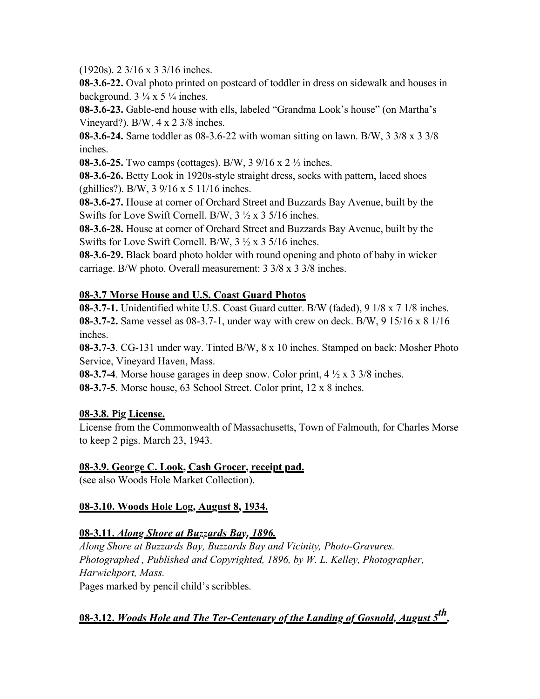(1920s). 2 3/16 x 3 3/16 inches.

**08-3.6-22.** Oval photo printed on postcard of toddler in dress on sidewalk and houses in background.  $3\frac{1}{4} \times 5\frac{1}{4}$  inches.

**08-3.6-23.** Gable-end house with ells, labeled "Grandma Look's house" (on Martha's Vineyard?). B/W, 4 x 2 3/8 inches.

**08-3.6-24.** Same toddler as 08-3.6-22 with woman sitting on lawn. B/W, 3 3/8 x 3 3/8 inches.

**08-3.6-25.** Two camps (cottages). B/W, 3 9/16 x 2 ½ inches.

**08-3.6-26.** Betty Look in 1920s-style straight dress, socks with pattern, laced shoes (ghillies?). B/W, 3 9/16 x 5 11/16 inches.

**08-3.6-27.** House at corner of Orchard Street and Buzzards Bay Avenue, built by the Swifts for Love Swift Cornell. B/W, 3 ½ x 3 5/16 inches.

**08-3.6-28.** House at corner of Orchard Street and Buzzards Bay Avenue, built by the Swifts for Love Swift Cornell. B/W, 3 ½ x 3 5/16 inches.

**08-3.6-29.** Black board photo holder with round opening and photo of baby in wicker carriage. B/W photo. Overall measurement: 3 3/8 x 3 3/8 inches.

## **08-3.7 Morse House and U.S. Coast Guard Photos**

**08-3.7-1.** Unidentified white U.S. Coast Guard cutter. B/W (faded), 9 1/8 x 7 1/8 inches. **08-3.7-2.** Same vessel as 08-3.7-1, under way with crew on deck. B/W, 9 15/16 x 8 1/16 inches.

**08-3.7-3**. CG-131 under way. Tinted B/W, 8 x 10 inches. Stamped on back: Mosher Photo Service, Vineyard Haven, Mass.

**08-3.7-4**. Morse house garages in deep snow. Color print, 4 ½ x 3 3/8 inches.

**08-3.7-5**. Morse house, 63 School Street. Color print, 12 x 8 inches.

## **08-3.8. Pig License.**

License from the Commonwealth of Massachusetts, Town of Falmouth, for Charles Morse to keep 2 pigs. March 23, 1943.

## **08-3.9. George C. Look, Cash Grocer, receipt pad.**

(see also Woods Hole Market Collection).

## **08-3.10. Woods Hole Log, August 8, 1934.**

## **08-3.11.** *Along Shore at Buzzards Bay, 1896.*

*Along Shore at Buzzards Bay, Buzzards Bay and Vicinity, Photo-Gravures. Photographed , Published and Copyrighted, 1896, by W. L. Kelley, Photographer, Harwichport, Mass.* Pages marked by pencil child's scribbles.

**08-3.12.** *Woods Hole and The Ter-Centenary of the Landing of Gosnold, August 5th,*